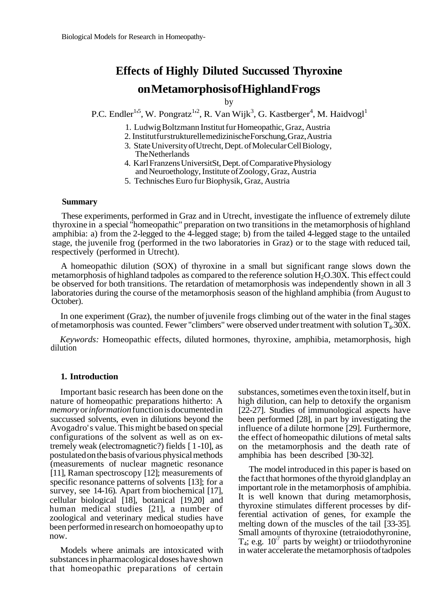# **Effects of Highly Diluted Succussed Thyroxine on Metamorphosis of Highland Frogs**

by

P.C. Endler<sup>1,5</sup>, W. Pongratz<sup>1,2</sup>, R. Van Wijk<sup>3</sup>, G. Kastberger<sup>4</sup>, M. Haidvogl<sup>1</sup>

1. Ludwig Boltzmann Institut fur Homeopathic, Graz, Austria

- 2. Institut fur strukturelle medizinische Forschung, Graz, Austria
- 3. State University of Utrecht, Dept. of Molecular Cell Biology, The Netherlands
- 4. Karl Franzens UniversitSt, Dept. of Comparative Physiology and Neuroethology, Institute of Zoology, Graz, Austria
- 5. Technisches Euro fur Biophysik, Graz, Austria

#### **Summary**

These experiments, performed in Graz and in Utrecht, investigate the influence of extremely dilute thyroxine in a special "homeopathic" preparation on two transitions in the metamorphosis of highland amphibia: a) from the 2-legged to the 4-legged stage; b) from the tailed 4-legged stage to the untailed stage, the juvenile frog (performed in the two laboratories in Graz) or to the stage with reduced tail, respectively (performed in Utrecht).

A homeopathic dilution (SOX) of thyroxine in a small but significant range slows down the metamorphosis of highland tadpoles as compared to the reference solution  $H_2O.30X$ . This effect could be observed for both transitions. The retardation of metamorphosis was independently shown in all 3 laboratories during the course of the metamorphosis season of the highland amphibia (from August to October).

In one experiment (Graz), the number of juvenile frogs climbing out of the water in the final stages of metamorphosis was counted. Fewer "climbers" were observed under treatment with solution T4.30X.

*Keywords:* Homeopathic effects, diluted hormones, thyroxine, amphibia, metamorphosis, high dilution

#### **1. Introduction**

Important basic research has been done on the nature of homeopathic preparations hitherto: A *memory* or *information* function is documented in succussed solvents, even in dilutions beyond the Avogadro' s value. This might be based on special configurations of the solvent as well as on extremely weak (electromagnetic?) fields [ 1 -10], as postulated on the basis of various physical methods (measurements of nuclear magnetic resonance [11], Raman spectroscopy [12]; measurements of specific resonance patterns of solvents [13]; for a survey, see 14-16). Apart from biochemical [17], cellular biological [18], botanical [19,20] and human medical studies [21], a number of zoological and veterinary medical studies have been performed in research on homoeopathy up to now.

Models where animals are intoxicated with substances in pharmacological doses have shown that homeopathic preparations of certain

substances, sometimes even the toxin itself, but in high dilution, can help to detoxify the organism [22-27]. Studies of immunological aspects have been performed [28], in part by investigating the influence of a dilute hormone [29]. Furthermore, the effect of homeopathic dilutions of metal salts on the metamorphosis and the death rate of amphibia has been described [30-32].

The model introduced in this paper is based on the fact that hormones of the thyroid glandplay an important role in the metamorphosis of amphibia. It is well known that during metamorphosis, thyroxine stimulates different processes by differential activation of genes, for example the melting down of the muscles of the tail [33-35]. Small amounts of thyroxine (tetraiodothyronine,  $T_4$ ; e.g.  $10^7$  parts by weight) or triiodothyronine in water accelerate the metamorphosis of tadpoles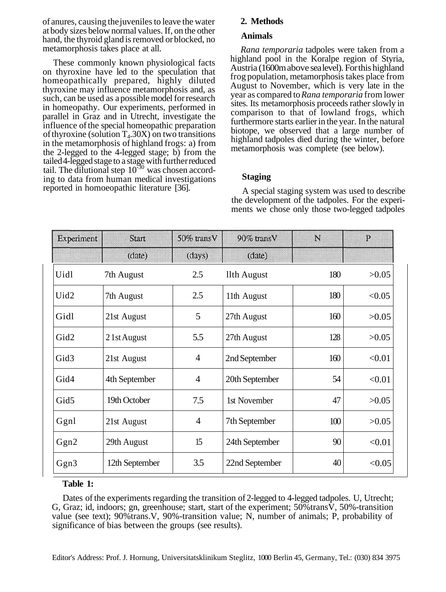of anures, causing the juveniles to leave the water at body sizes below normal values. If, on the other hand, the thyroid gland is removed or blocked, no metamorphosis takes place at all.

These commonly known physiological facts on thyroxine have led to the speculation that homeopathically prepared, highly diluted thyroxine may influence metamorphosis and, as such, can be used as a possible model for research in homeopathy. Our experiments, performed in parallel in Graz and in Utrecht, investigate the influence of the special homeopathic preparation of thyroxine (solution  $T<sub>4</sub>$ .30X) on two transitions in the metamorphosis of highland frogs: a) from the 2-legged to the 4-legged stage; b) from the tailed 4-legged stage to a stage with further reduced tail. The dilutional step  $10^{-30}$  was chosen according to data from human medical investigations reported in homoeopathic literature [36].

# **2. Methods**

# **Animals**

*Rana temporaria* tadpoles were taken from a highland pool in the Koralpe region of Styria, Austria (1600m above sea level). For this highland frog population, metamorphosis takes place from August to November, which is very late in the year as compared to *Rana temporaria* from lower sites. Its metamorphosis proceeds rather slowly in comparison to that of lowland frogs, which furthermore starts earlier in the year. In the natural biotope, we observed that a large number of highland tadpoles died during the winter, before metamorphosis was complete (see below).

# **Staging**

A special staging system was used to describe the development of the tadpoles. For the experiments we chose only those two-legged tadpoles

| Experiment       | <b>Start</b>   | 50% transV     | 90% transV     | $\mathbb N$ | P      |
|------------------|----------------|----------------|----------------|-------------|--------|
|                  | (date)         | (days)         | (date)         |             |        |
| Uidl             | 7th August     | 2.5            | llth August    | 180         | >0.05  |
| Uid <sub>2</sub> | 7th August     | 2.5            | 11th August    | 180         | < 0.05 |
| Gidl             | 21st August    | 5              | 27th August    | 160         | >0.05  |
| Gid2             | 2 1st August   | 5.5            | 27th August    | 128         | >0.05  |
| Gid <sub>3</sub> | 21st August    | $\overline{4}$ | 2nd September  | 160         | < 0.01 |
| Gid4             | 4th September  | $\overline{4}$ | 20th September | 54          | < 0.01 |
| Gid5             | 19th October   | 7.5            | 1st November   | 47          | >0.05  |
| Ggnl             | 21st August    | $\overline{4}$ | 7th September  | 100         | >0.05  |
| Ggn2             | 29th August    | 15             | 24th September | 90          | < 0.01 |
| Ggn <sub>3</sub> | 12th September | 3.5            | 22nd September | 40          | < 0.05 |

# **Table 1:**

Dates of the experiments regarding the transition of 2-legged to 4-legged tadpoles. U, Utrecht; G, Graz; id, indoors; gn, greenhouse; start, start of the experiment; 50%transV, 50%-transition value (see text); 90%trans.V, 90%-transition value; N, number of animals; P, probability of significance of bias between the groups (see results).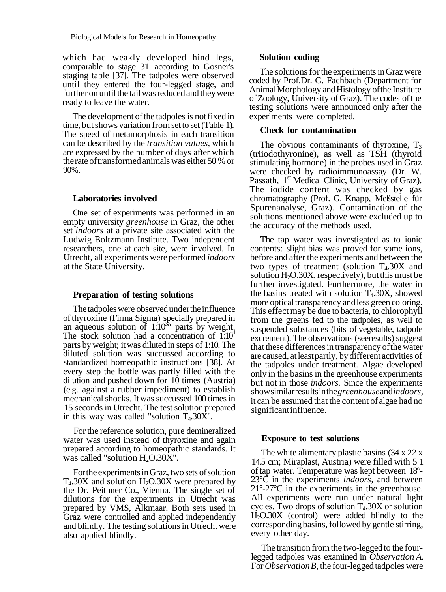which had weakly developed hind legs, comparable to stage 31 according to Gosner's staging table [37]. The tadpoles were observed until they entered the four-legged stage, and further on until the tail was reduced and they were ready to leave the water.

The development of the tadpoles is not fixed in time, but shows variation from set to set (Table 1). The speed of metamorphosis in each transition can be described by the *transition values,* which are expressed by the number of days after which the rate of transformed animals was either 50 % or 90%.

#### **Laboratories involved**

One set of experiments was performed in an empty university *greenhouse* in Graz, the other set *indoors* at a private site associated with the Ludwig Boltzmann Institute. Two independent researchers, one at each site, were involved. In Utrecht, all experiments were performed *indoors* at the State University.

#### **Preparation of testing solutions**

The tadpoles were observed under the influence of thyroxine (Firma Sigma) specially prepared in an aqueous solution of  $1:10^{36}$  parts by weight. The stock solution had a concentration of  $1:10<sup>4</sup>$ parts by weight; it was diluted in steps of 1:10. The diluted solution was succussed according to standardized homeopathic instructions [38]. At every step the bottle was partly filled with the dilution and pushed down for 10 times (Austria) (e.g. against a rubber impediment) to establish mechanical shocks. It was succussed 100 times in 15 seconds in Utrecht. The test solution prepared in this way was called "solution  $T_4.30\overline{X}$ ".

For the reference solution, pure demineralized water was used instead of thyroxine and again prepared according to homeopathic standards. It was called "solution  $H_2O.30X$ ".

For the experiments in Graz, two sets of solution  $T<sub>4</sub>30X$  and solution  $H<sub>2</sub>O.30X$  were prepared by the Dr. Peithner Co., Vienna. The single set of dilutions for the experiments in Utrecht was prepared by VMS, Alkmaar. Both sets used in Graz were controlled and applied independently and blindly. The testing solutions in Utrecht were also applied blindly.

#### **Solution coding**

The solutions for the experiments in Graz were coded by Prof.Dr. G. Fachbach (Department for Animal Morphology and Histology of the Institute of Zoology, University of Graz). The codes of the testing solutions were announced only after the experiments were completed.

## **Check for contamination**

The obvious contaminants of thyroxine,  $T_3$ (triiodothyronine), as well as TSH (thyroid stimulating hormone) in the probes used in Graz were checked by radioimmunoassay (Dr. W. Passath, 1<sup>st</sup> Medical Clinic, University of Graz). The iodide content was checked by gas chromatography (Prof. G. Knapp, Meßstelle für Spurenanalyse, Graz). Contamination of the solutions mentioned above were excluded up to the accuracy of the methods used.

The tap water was investigated as to ionic contents: slight bias was proved for some ions, before and after the experiments and between the two types of treatment (solution  $T_4.30X$  and solution  $H_2O.30X$ , respectively), but this must be further investigated. Furthermore, the water in the basins treated with solution  $T<sub>4</sub>$ .30X, showed more optical transparency and less green coloring. This effect may be due to bacteria, to chlorophyll from the greens fed to the tadpoles, as well to suspended substances (bits of vegetable, tadpole excrement). The observations (seeresults) suggest that these differences in transparency of the water are caused, at least partly, by different activities of the tadpoles under treatment. Algae developed only in the basins in the greenhouse experiments but not in those *indoors.* Since the experiments show similar results in the *greenhouse* and *indoors,* it can be assumed that the content of algae had no significant influence.

## **Exposure to test solutions**

The white alimentary plastic basins (34 x 22 x 14.5 cm; Miraplast, Austria) were filled with 5 1 of tap water. Temperature was kept between 18°- 23°C in the experiments *indoors,* and between 21°-27°C in the experiments in the greenhouse. All experiments were run under natural light cycles. Two drops of solution  $T<sub>4</sub>0.30X$  or solution  $H<sub>2</sub>O.30X$  (control) were added blindly to the corresponding basins, followed by gentle stirring, every other day.

The transition from the two-legged to the fourlegged tadpoles was examined in *Observation A.* For *Observation B,* the four-legged tadpoles were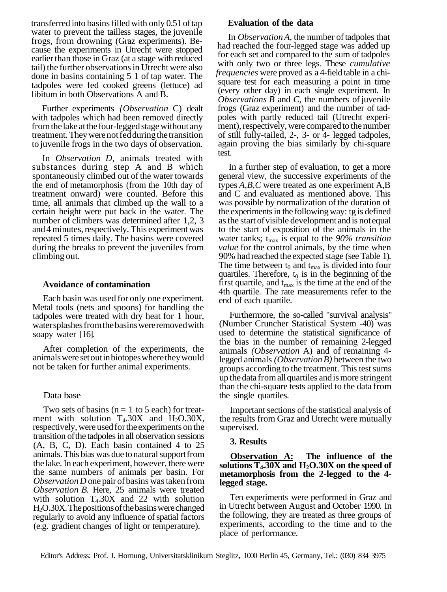transferred into basins filled with only 0.51 of tap water to prevent the tailless stages, the juvenile frogs, from drowning (Graz experiments). Because the experiments in Utrecht were stopped earlier than those in Graz (at a stage with reduced tail) the further observations in Utrecht were also done in basins containing 5 1 of tap water. The tadpoles were fed cooked greens (lettuce) ad libitum in both Observations A and B.

Further experiments *{Observation* C) dealt with tadpoles which had been removed directly from the lake at the four-legged stage without any treatment. They were not fed during the transition to juvenile frogs in the two days of observation.

In *Observation D,* animals treated with substances during step A and B which spontaneously climbed out of the water towards the end of metamorphosis (from the 10th day of treatment onward) were counted. Before this time, all animals that climbed up the wall to a certain height were put back in the water. The number of climbers was determined after 1,2, 3 and 4 minutes, respectively. This experiment was repeated 5 times daily. The basins were covered during the breaks to prevent the juveniles from climbing out.

## **Avoidance of contamination**

Each basin was used for only one experiment. Metal tools (nets and spoons) for handling the tadpoles were treated with dry heat for 1 hour, water splashes from the basins were removed with soapy water [16].

After completion of the experiments, the animals were set out in biotopes where they would not be taken for further animal experiments.

# Data base

Two sets of basins ( $n = 1$  to 5 each) for treatment with solution  $T_4.30X$  and  $H_2O.30X$ , respectively, were used for the experiments on the transition of the tadpoles in all observation sessions (A, B, C, D). Each basin contained 4 to 25 animals. This bias was due to natural support from the lake. In each experiment, however, there were the same numbers of animals per basin. For *Observation D* one pair of basins was taken from *Observation B.* Here, 25 animals were treated with solution  $T<sub>4</sub>$ .30X and 22 with solution H2O.30X. The positions of the basins were changed regularly to avoid any influence of spatial factors (e.g. gradient changes of light or temperature).

## **Evaluation of the data**

In *Observation A,* the number of tadpoles that had reached the four-legged stage was added up for each set and compared to the sum of tadpoles with only two or three legs. These *cumulative frequencies* were proved as a 4-field table in a chisquare test for each measuring a point in time (every other day) in each single experiment. In *Observations B* and *C,* the numbers of juvenile frogs (Graz experiment) and the number of tadpoles with partly reduced tail (Utrecht experiment), respectively, were compared to the number of still fully-tailed, 2-, 3- or 4- legged tadpoles, again proving the bias similarly by chi-square test.

In a further step of evaluation, to get a more general view, the successive experiments of the types *A,B,C* were treated as one experiment A,B and C and evaluated as mentioned above. This was possible by normalization of the duration of the experiments in the following way: tg is defined as the start of visible development and is not equal to the start of exposition of the animals in the water tanks;  $t_{\text{max}}$  is equal to the 90% transition *value* for the control animals, by the time when 90% had reached the expected stage (see Table 1). The time between  $t_0$  and  $t_{\text{max}}$  is divided into four quartiles. Therefore,  $t_0$  is in the beginning of the first quartile, and  $t_{\text{max}}$  is the time at the end of the 4th quartile. The rate measurements refer to the end of each quartile.

Furthermore, the so-called "survival analysis" (Number Cruncher Statistical System -40) was used to determine the statistical significance of the bias in the number of remaining 2-legged animals *(Observation* A) and of remaining 4 legged animals *(Observation B)* between the two groups according to the treatment. This test sums up the data from all quartiles and is more stringent than the chi-square tests applied to the data from the single quartiles.

Important sections of the statistical analysis of the results from Graz and Utrecht were mutually supervised.

## **3. Results**

# **Observation A: The influence of the solutions T4.30X and H2O.30X on the speed of metamorphosis from the 2-legged to the 4 legged stage.**

Ten experiments were performed in Graz and in Utrecht between August and October 1990. In the following, they are treated as three groups of experiments, according to the time and to the place of performance.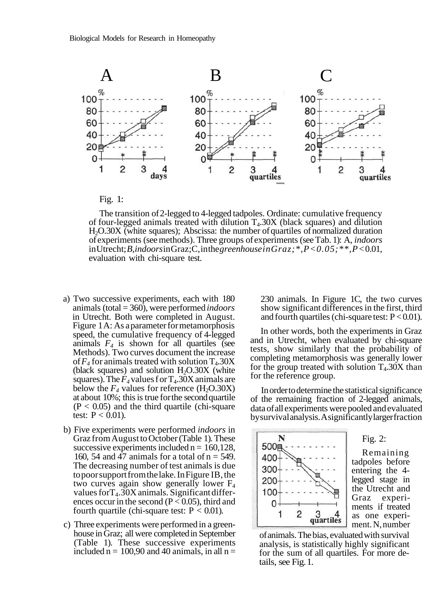



The transition of 2-legged to 4-legged tadpoles. Ordinate: cumulative frequency of four-legged animals treated with dilution  $T<sub>4</sub>0.30X$  (black squares) and dilution H2O.30X (white squares); Abscissa: the number of quartiles of normalized duration of experiments (see methods). Three groups of experiments (see Tab. 1): A, *indoors* in Utrecht; *B,indoors* in Graz;C, in the *greenhouse inGraz;\*,P<0.05;\*\*,P<* 0.01, evaluation with chi-square test.

- a) Two successive experiments, each with 180 animals (total = 360), were performed *indoors* in Utrecht. Both were completed in August. Figure 1 A: As a parameter for metamorphosis speed, the cumulative frequency of 4-legged animals  $F_4$  is shown for all quartiles (see Methods). Two curves document the increase of  $F_4$  for animals treated with solution  $T_4.30X$ (black squares) and solution  $H_2O.30X$  (white squares). The  $F_4$  values f or  $T_4$ . 30X animals are below the  $F_4$  values for reference (H<sub>2</sub>O.30X) at about 10%; this is true for the second quartile  $(P < 0.05)$  and the third quartile (chi-square test:  $P < 0.01$ ).
- b) Five experiments were performed *indoors* in Graz from August to October (Table 1). These successive experiments included  $n = 160,128$ , 160, 54 and 47 animals for a total of  $n = 549$ . The decreasing number of test animals is due to poor support from the lake. In Figure IB, the two curves again show generally lower  $F_4$ values for  $T_4.30X$  animals. Significant differences occur in the second ( $P < 0.05$ ), third and fourth quartile (chi-square test:  $P < 0.01$ ).
- c) Three experiments were performed in a greenhouse in Graz; all were completed in September (Table 1). These successive experiments included  $n = 100,90$  and 40 animals, in all  $n =$

230 animals. In Figure 1C, the two curves show significant differences in the first, third and fourth quartiles (chi-square test:  $P < 0.01$ ).

In other words, both the experiments in Graz and in Utrecht, when evaluated by chi-square tests, show similarly that the probability of completing metamorphosis was generally lower for the group treated with solution  $T<sub>4</sub>$ .30X than for the reference group.

In order to determine the statistical significance of the remaining fraction of 2-legged animals, data of all experiments were pooled and evaluated by survival analysis. A significantly larger fraction



# Fig. 2:

Remaining tadpoles before entering the 4 legged stage in the Utrecht and Graz experiments if treated as one experiment. N, number

of animals. The bias, evaluated with survival analysis, is statistically highly significant for the sum of all quartiles. For more details, see Fig. 1.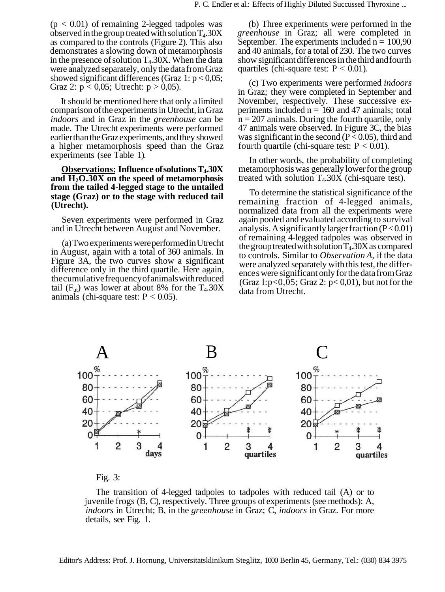$(p < 0.01)$  of remaining 2-legged tadpoles was observed in the group treated with solution  $T_4.30X$ as compared to the controls (Figure 2). This also demonstrates a slowing down of metamorphosis in the presence of solution  $T<sub>4</sub>$ .30X. When the data were analyzed separately, only the data from Graz showed significant differences (Graz 1:  $p < 0.05$ ; Graz 2:  $p < 0.05$ ; Utrecht:  $p > 0.05$ ).

It should be mentioned here that only a limited comparison of the experiments in Utrecht, in Graz *indoors* and in Graz in the *greenhouse* can be made. The Utrecht experiments were performed earlier than the Graz experiments, and they showed a higher metamorphosis speed than the Graz experiments (see Table 1).

**Observations: Influence of solutions T4.30X and H2O.30X on the speed of metamorphosis from the tailed 4-legged stage to the untailed stage (Graz) or to the stage with reduced tail (Utrecht).**

Seven experiments were performed in Graz and in Utrecht between August and November.

(a) Two experiments were performed in Utrecht in August, again with a total of 360 animals. In Figure 3A, the two curves show a significant difference only in the third quartile. Here again, the cumulative frequency of animals with reduced tail ( $F_{ut}$ ) was lower at about 8% for the  $T_4.30X$ animals (chi-square test:  $P < 0.05$ ).

(b) Three experiments were performed in the *greenhouse* in Graz; all were completed in September. The experiments included  $n = 100,90$ and 40 animals, for a total of 230. The two curves show significant differences in the third and fourth quartiles (chi-square test:  $P < 0.01$ ).

(c) Two experiments were performed *indoors* in Graz; they were completed in September and November, respectively. These successive experiments included  $n = 160$  and 47 animals; total  $n = 207$  animals. During the fourth quartile, only 47 animals were observed. In Figure 3C, the bias was significant in the second ( $P < 0.05$ ), third and fourth quartile (chi-square test:  $P < 0.01$ ).

In other words, the probability of completing metamorphosis was generally lower for the group treated with solution  $T<sub>4</sub>$ . 30X (chi-square test).

To determine the statistical significance of the remaining fraction of 4-legged animals, normalized data from all the experiments were again pooled and evaluated according to survival analysis. A significantly larger fraction  $(P<0.01)$ of remaining 4-legged tadpoles was observed in the group treated with solution  $T_4.30X$  as compared to controls. Similar to *Observation A,* if the data were analyzed separately with this test, the difference s were significant only for the data from Graz (Graz 1: $p<0.05$ ; Graz 2:  $p<0.01$ ), but not for the data from Utrecht.





The transition of 4-legged tadpoles to tadpoles with reduced tail (A) or to juvenile frogs (B, C), respectively. Three groups of experiments (see methods): A, *indoors* in Utrecht; B, in the *greenhouse* in Graz; C, *indoors* in Graz. For more details, see Fig. 1.

Editor's Address: Prof. J. Hornung, Universitatsklinikum Steglitz, 1000 Berlin 45, Germany, Tel.: (030) 834 3975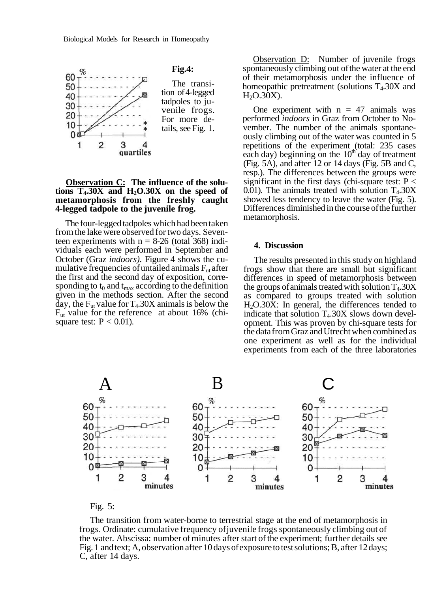

## **Observation C: The influence of the solutions T4.30X and H2O.30X on the speed of metamorphosis from the freshly caught 4-legged tadpole to the juvenile frog.**

The four-legged tadpoles which had been taken from the lake were observed for two days. Seventeen experiments with  $n = 8-26$  (total 368) individuals each were performed in September and October (Graz *indoors).* Figure 4 shows the cumulative frequencies of untailed animals  $F_{ut}$  after the first and the second day of exposition, corresponding to  $t_0$  and  $t_{\text{max}}$  according to the definition given in the methods section. After the second day, the  $F_{ut}$  value for  $T_4.30X$  animals is below the Fut value for the reference at about 16% (chisquare test:  $P < 0.01$ ).

**Observation D:** Number of juvenile frogs spontaneously climbing out of the water at the end of their metamorphosis under the influence of homeopathic pretreatment (solutions  $T<sub>4</sub>$ .30X and  $H<sub>2</sub>O.30X$ ).

One experiment with  $n = 47$  animals was performed *indoors* in Graz from October to November. The number of the animals spontaneously climbing out of the water was counted in 5 repetitions of the experiment (total: 235 cases each day) beginning on the  $10<sup>th</sup>$  day of treatment (Fig. 5A), and after 12 or 14 days (Fig. 5B and C, resp.). The differences between the groups were significant in the first days (chi-square test:  $P \lt \theta$  $0.01$ ). The animals treated with solution  $T<sub>4</sub>$ .30X showed less tendency to leave the water (Fig. 5). Differences diminished in the course of the further metamorphosis.

#### **4. Discussion**

The results presented in this study on highland frogs show that there are small but significant differences in speed of metamorphosis between the groups of animals treated with solution  $T_4.30X$ as compared to groups treated with solution H2O.30X: In general, the differences tended to indicate that solution  $T<sub>4</sub>$ .30X slows down development. This was proven by chi-square tests for the data from Graz and Utrecht when combined as one experiment as well as for the individual experiments from each of the three laboratories



## Fig. 5:

The transition from water-borne to terrestrial stage at the end of metamorphosis in frogs. Ordinate: cumulative frequency of juvenile frogs spontaneously climbing out of the water. Abscissa: number of minutes after start of the experiment; further details see Fig. 1 and text; A, observation after 10 days of exposure to test solutions; B, after 12 days; C, after 14 days.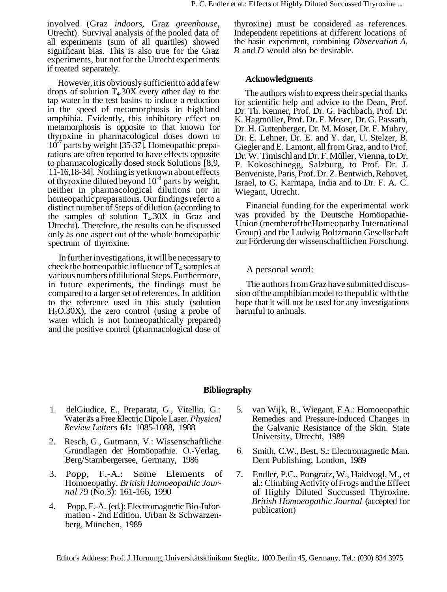involved (Graz *indoors,* Graz *greenhouse,* Utrecht). Survival analysis of the pooled data of all experiments (sum of all quartiles) showed significant bias. This is also true for the Graz experiments, but not for the Utrecht experiments if treated separately.

However, it is obviously sufficient to add a few drops of solution  $T<sub>4</sub>$ .30X every other day to the tap water in the test basins to induce a reduction in the speed of metamorphosis in highland amphibia. Evidently, this inhibitory effect on metamorphosis is opposite to that known for thyroxine in pharmacological doses down to 10<sup>-7</sup> parts by weight [35-37]. Homeopathic preparations are often reported to have effects opposite to pharmacologically dosed stock Solutions [8,9, 11-16,18-34]. Nothing is yet known about effects of thyroxine diluted beyond  $10^{-8}$  parts by weight, neither in pharmacological dilutions nor in homeopathic preparations. Our findings refer to a distinct number of Steps of dilution (according to the samples of solution  $T<sub>4</sub>$ . 30X in Graz and Utrecht). Therefore, the results can be discussed only äs one aspect out of the whole homeopathic spectrum of thyroxine.

In further investigations, it will be necessary to check the homeopathic influence of  $T_4$  samples at various numbers of dilutional Steps. Furthermore, in future experiments, the findings must be compared to a larger set of references. In addition to the reference used in this study (solution  $H_2O.30X$ ), the zero control (using a probe of water which is not homeopathically prepared) and the positive control (pharmacological dose of

thyroxine) must be considered as references. Independent repetitions at different locations of the basic experiment, combining *Observation A, B* and *D* would also be desirable.

## **Acknowledgments**

The authors wish to express their special thanks for scientific help and advice to the Dean, Prof. Dr. Th. Kenner, Prof. Dr. G. Fachbach, Prof. Dr. K. Hagmüller, Prof. Dr. F. Moser, Dr. G. Passath, Dr. H. Guttenberger, Dr. M. Moser, Dr. F. Muhry, Dr. E. Lehner, Dr. E. and Y. dar, U. Stelzer, B. Giegler and E. Lamont, all from Graz, and to Prof. Dr. W. Timischl and Dr. F. Müller, Vienna, to Dr. P. Kokoschinegg, Salzburg, to Prof. Dr. J. Benveniste, Paris, Prof. Dr. Z. Bentwich, Rehovet, Israel, to G. Karmapa, India and to Dr. F. A. C. Wiegant, Utrecht.

Financial funding for the experimental work was provided by the Deutsche Homöopathie-Union (memberof theHomeopathy International Group) and the Ludwig Boltzmann Gesellschaft zur Förderung der wissenschaftlichen Forschung.

## A personal word:

The authors from Graz have submitted discussion of the amphibian model to thepublic with the hope that it will not be used for any investigations harmful to animals.

# **Bibliography**

- 1. delGiudice, E., Preparata, G., Vitellio, G.: 5. Water äs a Free Electric Dipole Laser. *Physical Review Leiters* **61:** 1085-1088, 1988
- 2. Resch, G., Gutmann, V.: Wissenschaftliche Grundlagen der Homöopathie. O.-Verlag, 6. Berg/Starnbergersee, Germany, 1986
- 3. Popp, F.-A.: Some Elements of 7. Homoeopathy. *British Homoeopathic Journal* 79 (No.3): 161-166, 1990
- 4. Popp, F.-A. (ed.): Electromagnetic Bio-Information - 2nd Edition. Urban & Schwarzenberg, München, 1989
- van Wijk, R., Wiegant, F.A.: Homoeopathic Remedies and Pressure-induced Changes in the Galvanic Resistance of the Skin. State University, Utrecht, 1989
- Smith, C.W., Best, S.: Electromagnetic Man. Dent Publishing, London, 1989
- Endler, P.C., Pongratz, W., Haidvogl, M., et al.: Climbing Activity of Frogs and the Effect of Highly Diluted Succussed Thyroxine. *British Homoeopathic Journal* (accepted for publication)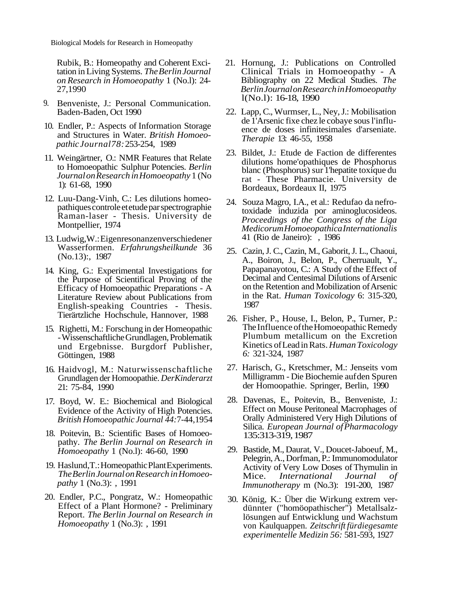Biological Models for Research in Homeopathy

Rubik, B.: Homeopathy and Coherent Excitation in Living Systems. *The Berlin Journal on Research in Homoeopathy* 1 (No.l): 24- 27,1990

- 9. Benveniste, J.: Personal Communication. Baden-Baden, Oct 1990
- 10. Endler, P.: Aspects of Information Storage and Structures in Water. *British Homoeopathic Journal78:* 253-254, 1989
- 11. Weingärtner, O.: NMR Features that Relate to Homoeopathic Sulphur Potencies. *Berlin Journal on Research in Homoeopathy* 1 (No 1): 61-68, 1990
- 12. Luu-Dang-Vinh, C.: Les dilutions homeopathiques controle et etude par spectrographie Raman-laser - Thesis. University de Montpellier, 1974
- 13. Ludwig,W.: Eigenresonanzenverschiedener Wasserformen. *Erfahrungsheilkunde* 36 (No.13):, 1987
- 14. King, G.: Experimental Investigations for the Purpose of Scientifical Proving of the Efficacy of Homoeopathic Preparations - A Literature Review about Publications from English-speaking Countries - Thesis. Tierärtzliche Hochschule, Hannover, 1988
- 15. Righetti, M.: Forschung in der Homeopathic - Wissenschaftliche Grundlagen, Problematik und Ergebnisse. Burgdorf Publisher, Göttingen, 1988
- 16. Haidvogl, M.: Naturwissenschaftliche Grundlagen der Homoopathie. *DerKinderarzt* 21: 75-84, 1990
- 17. Boyd, W. E.: Biochemical and Biological Evidence of the Activity of High Potencies. *British Homoeopathic Journal 44:*7-44,1954
- 18. Poitevin, B.: Scientific Bases of Homoeopathy. *The Berlin Journal on Research in Homoeopathy* 1 (No.l): 46-60, 1990
- 19. Haslund,T.: Homeopathic Plant Experiments. *The Berlin Journal on Research in Homoeopathy* 1 (No.3): , 1991
- 20. Endler, P.C., Pongratz, W.: Homeopathic Effect of a Plant Hormone? - Preliminary Report. *The Berlin Journal on Research in Homoeopathy* 1 (No.3): , 1991
- 21. Hornung, J.: Publications on Controlled Clinical Trials in Homoeopathy - A Bibliography on 22 Medical Studies. *The Berlin Journal on Research in Homoeopathy* l(No.l): 16-18, 1990
- 22. Lapp, C., Wurmser, L., Ney, J.: Mobilisation de 1'Arsenic fixe chez le cobaye sous l'influence de doses infinitesimales d'arseniate. *Therapie* 13: 46-55, 1958
- 23. Bildet, J.: Etude de Faction de differentes dilutions home'opathiques de Phosphorus blanc (Phosphorus) sur 1'hepatite toxique du rat - These Pharmacie. University de Bordeaux, Bordeaux II, 1975
- 24. Souza Magro, I.A., et al.: Redufao da nefrotoxidade induzida por aminoglucosideos. *Proceedings of the Congress of the Liga Medicorum Homoeopathica Internationalis* 41 (Rio de Janeiro): , 1986
- 25. Cazin, J. C., Cazin, M., Gaborit, J. L., Chaoui, A., Boiron, J., Belon, P., Cherruault, Y., Papapanayotou, C.: A Study of the Effect of Decimal and Centesimal Dilutions of Arsenic on the Retention and Mobilization of Arsenic in the Rat. *Human Toxicology* 6: 315-320, 1987
- 26. Fisher, P., House, I., Belon, P., Turner, P.: The Influence of the Homoeopathic Remedy Plumbum metallicum on the Excretion Kinetics of Lead in Rats. *Human Toxicology 6:* 321-324, 1987
- 27. Harisch, G., Kretschmer, M.: Jenseits vom Milligramm - Die Biochemie auf den Spuren der Homoopathie. Springer, Berlin, 1990
- 28. Davenas, E., Poitevin, B., Benveniste, J.: Effect on Mouse Peritoneal Macrophages of Orally Administered Very High Dilutions of Silica. *European Journal of Pharmacology* 135:313-319, 1987
- 29. Bastide, M., Daurat, V., Doucet-Jaboeuf, M., Pelegrin, A., Dorfman, P.: Immunomodulator Activity of Very Low Doses of Thymulin in Mice. *International Journal of Immunotherapy* m (No.3): 191-200, 1987
- 30. König, K.: Über die Wirkung extrem verdünnter ("homöopathischer") Metallsalzlösungen auf Entwicklung und Wachstum von Kaulquappen. *Zeitschrift fürdiegesamte experimentelle Medizin 56:* 581-593, 1927